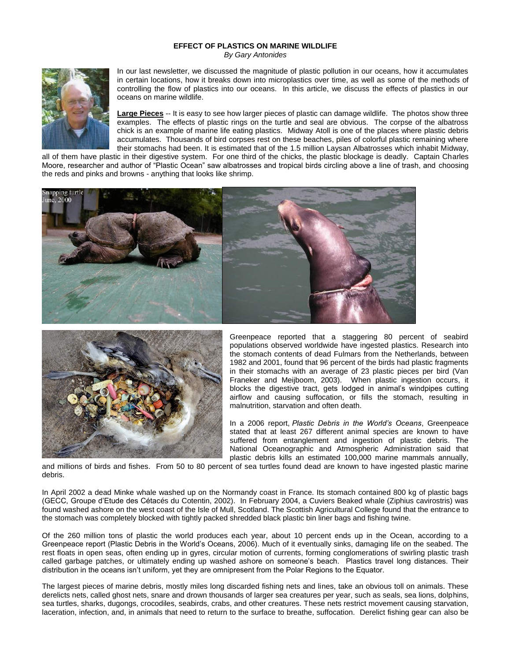## **EFFECT OF PLASTICS ON MARINE WILDLIFE**

*By Gary Antonides*



In our last newsletter, we discussed the magnitude of plastic pollution in our oceans, how it accumulates in certain locations, how it breaks down into microplastics over time, as well as some of the methods of controlling the flow of plastics into our oceans. In this article, we discuss the effects of plastics in our oceans on marine wildlife.

**Large Pieces** -- It is easy to see how larger pieces of plastic can damage wildlife. The photos show three examples. The effects of plastic rings on the turtle and seal are obvious. The corpse of the albatross chick is an example of marine life eating plastics. Midway Atoll is one of the places where plastic debris accumulates. Thousands of bird corpses rest on these beaches, piles of colorful plastic remaining where their stomachs had been. It is estimated that of the 1.5 million Laysan Albatrosses which inhabit Midway,

all of them have plastic in their digestive system. For one third of the chicks, the plastic blockage is deadly. Captain Charles Moore, researcher and author of "Plastic Ocean" saw albatrosses and tropical birds circling above a line of trash, and choosing the reds and pinks and browns - anything that looks like shrimp.





Greenpeace reported that a staggering 80 percent of seabird populations observed worldwide have ingested plastics. Research into the stomach contents of dead Fulmars from the Netherlands, between 1982 and 2001, found that 96 percent of the birds had plastic fragments in their stomachs with an average of 23 plastic pieces per bird (Van Franeker and Meijboom, 2003). When plastic ingestion occurs, it blocks the digestive tract, gets lodged in animal's windpipes cutting airflow and causing suffocation, or fills the stomach, resulting in malnutrition, starvation and often death.

In a 2006 report, *Plastic Debris in the World's Oceans*, Greenpeace stated that at least 267 different animal species are known to have suffered from entanglement and ingestion of plastic debris. The National Oceanographic and Atmospheric Administration said that plastic debris kills an estimated 100,000 marine mammals annually,

and millions of birds and fishes. From 50 to 80 percent of sea turtles found dead are known to have ingested plastic marine debris.

In April 2002 a dead Minke whale washed up on the Normandy coast in France. Its stomach contained 800 kg of plastic bags (GECC, Groupe d'Etude des Cétacés du Cotentin, 2002). In February 2004, a Cuviers Beaked whale (Ziphius cavirostris) was found washed ashore on the west coast of the Isle of Mull, Scotland. The Scottish Agricultural College found that the entrance to the stomach was completely blocked with tightly packed shredded black plastic bin liner bags and fishing twine.

Of the 260 million tons of plastic the world produces each year, about 10 percent ends up in the Ocean, according to a Greenpeace report (Plastic Debris in the World's Oceans, 2006). Much of it eventually sinks, damaging life on the seabed. The rest floats in open seas, often ending up in gyres, circular motion of currents, forming conglomerations of swirling plastic trash called garbage patches, or ultimately ending up washed ashore on someone's beach. Plastics travel long distances. Their distribution in the oceans isn't uniform, yet they are omnipresent from the Polar Regions to the Equator.

The largest pieces of marine debris, mostly miles long discarded fishing nets and lines, take an obvious toll on animals. These derelicts nets, called ghost nets, snare and drown thousands of larger sea creatures per year, such as seals, sea lions, dolphins, sea turtles, sharks, dugongs, crocodiles, seabirds, crabs, and other creatures. These nets restrict movement causing starvation, laceration, infection, and, in animals that need to return to the surface to breathe, suffocation. Derelict fishing gear can also be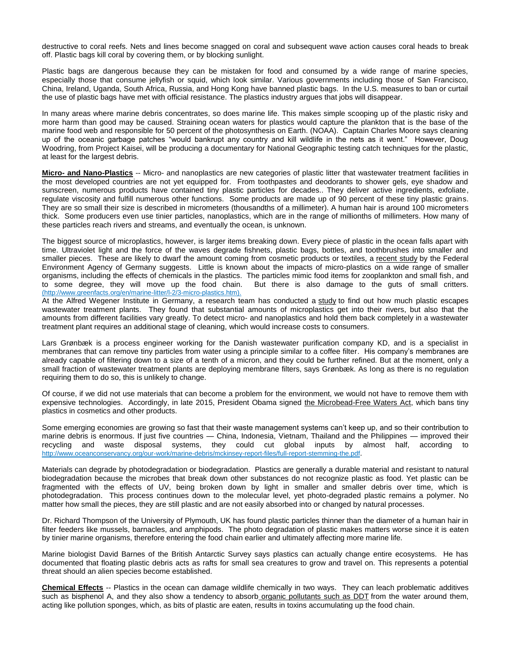destructive to coral reefs. Nets and lines become snagged on coral and subsequent wave action causes coral heads to break off. Plastic bags kill coral by covering them, or by blocking sunlight.

Plastic bags are dangerous because they can be mistaken for food and consumed by a wide range of marine species, especially those that consume jellyfish or squid, which look similar. Various governments including those of San Francisco, China, Ireland, Uganda, South Africa, Russia, and Hong Kong have banned plastic bags. In the U.S. measures to ban or curtail the use of plastic bags have met with official resistance. The plastics industry argues that jobs will disappear.

In many areas where marine debris concentrates, so does marine life. This makes simple scooping up of the plastic risky and more harm than good may be caused. Straining ocean waters for plastics would capture the plankton that is the base of the marine food web and responsible for 50 percent of the photosynthesis on Earth. (NOAA). Captain Charles Moore says cleaning up of the oceanic garbage patches "would bankrupt any country and kill wildlife in the nets as it went." However, Doug Woodring, from Project Kaisei, will be producing a documentary for National Geographic testing catch techniques for the plastic, at least for the largest debris.

**Micro- and Nano-Plastics** -- Micro- and nanoplastics are new categories of plastic litter that wastewater treatment facilities in the most developed countries are not yet equipped for. From toothpastes and deodorants to shower gels, eye shadow and sunscreen, numerous products have contained tiny plastic particles for decades.. They deliver active ingredients, exfoliate, regulate viscosity and fulfill numerous other functions. Some products are made up of 90 percent of these tiny plastic grains. They are so small their size is described in micrometers (thousandths of a millimeter). A human hair is around 100 micrometers thick. Some producers even use tinier particles, nanoplastics, which are in the range of millionths of millimeters. How many of these particles reach rivers and streams, and eventually the ocean, is unknown.

The biggest source of microplastics, however, is larger items breaking down. Every piece of plastic in the ocean falls apart with time. Ultraviolet light and the force of the waves degrade fishnets, plastic bags, bottles, and toothbrushes into smaller and smaller pieces. These are likely to dwarf the amount coming from cosmetic products or textiles, a [recent study](https://www.umweltbundesamt.de/en/publikationen/sources-of-microplastics-relevant-to-marine) by the Federal Environment Agency of Germany suggests. Little is known about the impacts of micro-plastics on a wide range of smaller organisms, including the effects of chemicals in the plastics. The particles mimic food items for zooplankton and small fish, and to some degree, they will move up the food chain. But there is also damage to the guts of sm But there is also damage to the guts of small critters. (http://www.greenfacts.org/en/marine-litter/l-2/3-micro-plastics.htm).

At the Alfred Wegener Institute in Germany, a research team has conducted a [study](https://www.awi.de/nc/en/about-us/service/press/press-release/pilot-study-reveals-new-findings-about-microplastics-in-wastewater.html) to find out how much plastic escapes wastewater treatment plants. They found that substantial amounts of microplastics get into their rivers, but also that the amounts from different facilities vary greatly. To detect micro- and nanoplastics and hold them back completely in a wastewater treatment plant requires an additional stage of cleaning, which would increase costs to consumers.

Lars Grønbæk is a process engineer working for the Danish wastewater purification company KD, and is a specialist in membranes that can remove tiny particles from water using a principle similar to a coffee filter. His company's membranes are already capable of filtering down to a size of a tenth of a micron, and they could be further refined. But at the moment, only a small fraction of wastewater treatment plants are deploying membrane filters, says Grønbæk. As long as there is no regulation requiring them to do so, this is unlikely to change.

Of course, if we did not use materials that can become a problem for the environment, we would not have to remove them with expensive technologies. Accordingly, in late 2015, President Obama signed [the Microbead-Free Waters Act,](https://www.congress.gov/bill/114th-congress/house-bill/1321) which bans tiny plastics in cosmetics and other products.

Some emerging economies are growing so fast that their waste management systems can't keep up, and so their contribution to marine debris is enormous. If just five countries — China, Indonesia, Vietnam, Thailand and the Philippines — improved their recycling and waste disposal systems, they could cut global inputs by almost half, according to http://www.oceanconservancy.org/our-work/marine-debris/mckinsey-report-files/full-report-stemming-the.pdf.

Materials can degrade by photodegradation or biodegradation. Plastics are generally a durable material and resistant to natural biodegradation because the microbes that break down other substances do not recognize plastic as food. Yet plastic can be fragmented with the effects of UV, being broken down by light in smaller and smaller debris over time, which is photodegradation. This process continues down to the molecular level, yet photo-degraded plastic remains a polymer. No matter how small the pieces, they are still plastic and are not easily absorbed into or changed by natural processes.

Dr. Richard Thompson of the University of Plymouth, UK has found plastic particles thinner than the diameter of a human hair in filter feeders like mussels, barnacles, and amphipods. The photo degradation of plastic makes matters worse since it is eaten by tinier marine organisms, therefore entering the food chain earlier and ultimately affecting more marine life.

Marine biologist David Barnes of the British Antarctic Survey says plastics can actually change entire ecosystems. He has documented that floating plastic debris acts as rafts for small sea creatures to grow and travel on. This represents a potential threat should an alien species become established.

**Chemical Effects** -- Plastics in the ocean can damage wildlife chemically in two ways. They can leach problematic additives such as bisphenol A, and they also show a tendency to absorb [organic pollutants such as DDT](http://www.pelletwatch.org/) from the water around them, acting like pollution sponges, which, as bits of plastic are eaten, results in toxins accumulating up the food chain.